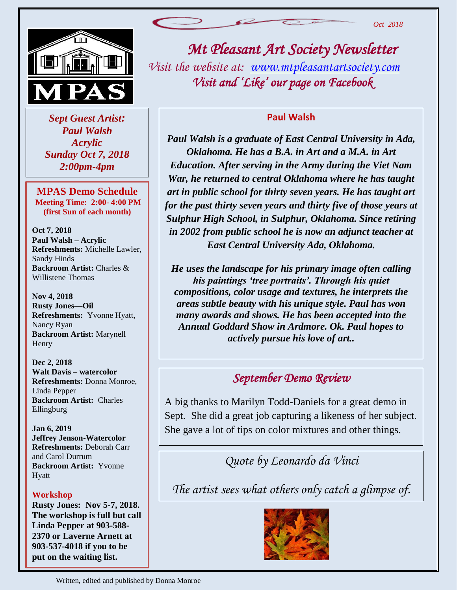

 *Sept Guest Artist: Paul Walsh Acrylic Sunday Oct 7, 2018 2:00pm-4pm*

**MPAS Demo Schedule Meeting Time: 2:00- 4:00 PM (first Sun of each month)**

**Oct 7, 2018 Paul Walsh – Acrylic Refreshments:** Michelle Lawler, Sandy Hinds **Backroom Artist:** Charles & Willistene Thomas

**Nov 4, 2018 Rusty Jones—Oil Refreshments:** Yvonne Hyatt, Nancy Ryan **Backroom Artist:** Marynell Henry

**Dec 2, 2018 Walt Davis – watercolor Refreshments:** Donna Monroe, Linda Pepper **Backroom Artist:** Charles Ellingburg

**Jan 6, 2019 Jeffrey Jenson-Watercolor Refreshments:** Deborah Carr and Carol Durrum **Backroom Artist:** Yvonne Hyatt

#### **Workshop**

**Rusty Jones: Nov 5-7, 2018. The workshop is full but call Linda Pepper at 903-588- 2370 or Laverne Arnett at 903-537-4018 if you to be put on the waiting list.**

*Mt Pleasant Art Society Newsletter Visit the website at: [www.mtpleasantartsociety.com](http://www.mtpleasantartsociety.com/) Visit and 'Like' our page on Facebook* 

#### **Paul Walsh**

*Paul Walsh is a graduate of East Central University in Ada, Oklahoma. He has a B.A. in Art and a M.A. in Art Education. After serving in the Army during the Viet Nam War, he returned to central Oklahoma where he has taught art in public school for thirty seven years. He has taught art for the past thirty seven years and thirty five of those years at Sulphur High School, in Sulphur, Oklahoma. Since retiring in 2002 from public school he is now an adjunct teacher at East Central University Ada, Oklahoma.*

*He uses the landscape for his primary image often calling his paintings 'tree portraits'. Through his quiet compositions, color usage and textures, he interprets the areas subtle beauty with his unique style. Paul has won many awards and shows. He has been accepted into the Annual Goddard Show in Ardmore. Ok. Paul hopes to actively pursue his love of art..*

## *September Demo Review*

A big thanks to Marilyn Todd-Daniels for a great demo in Sept. She did a great job capturing a likeness of her subject. She gave a lot of tips on color mixtures and other things.

*Quote by Leonardo da Vinci*

*The artist sees what others only catch a glimpse of.*

֖֖֖֖֖֚֚֚֚֚֚֚֚֚֚֚֚֬֝֝֓֡֬֝֬֝֬֝֬֝֓֬֝֓֬֝֓֬֝֓֬֝֓֬֝֓֬